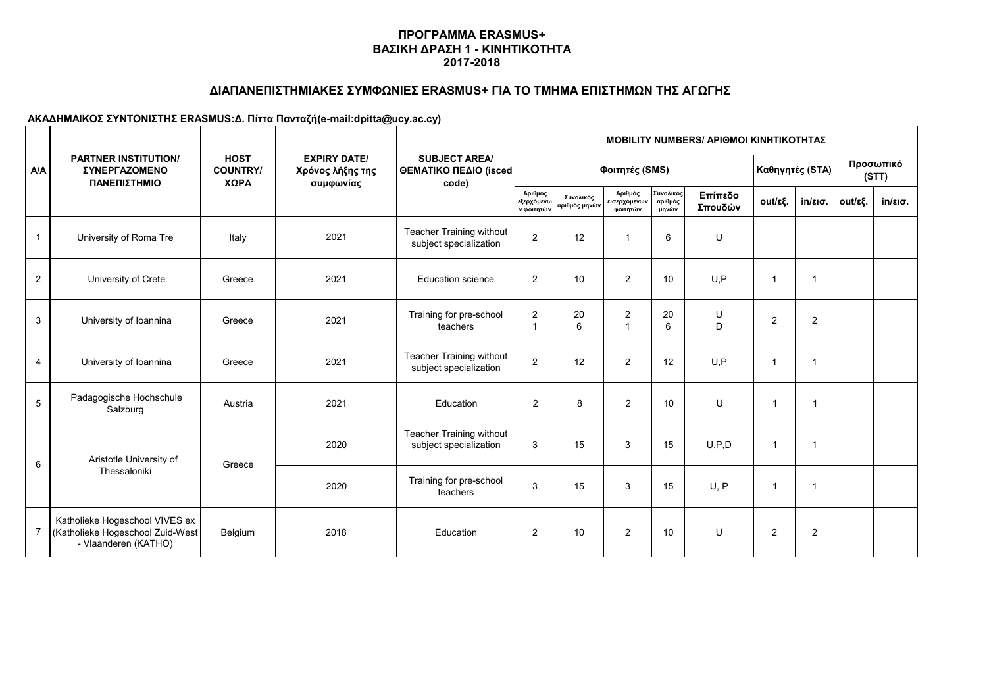# **ΔΙΑΠΑΝΕΠΙΣΤΗΜΙΑΚΕΣ ΣΥΜΦΩΝΙΕΣ ERASMUS+ ΓΙΑ ΤΟ ΤΜΗΜΑ ΕΠΙΣΤΗΜΩΝ ΤΗΣ ΑΓΩΓΗΣ**

|                | <b>PARTNER INSTITUTION/</b><br><b>ΣΥΝΕΡΓΑΖΟΜΕΝΟ</b><br>ΠΑΝΕΠΙΣΤΗΜΙΟ                        |                                        |                                                      | <b>SUBJECT AREA/</b><br>ΘΕΜΑΤΙΚΟ ΠΕΔΙΟ (isced<br>code)    | <b>MOBILITY NUMBERS/ APIOMOI KINHTIKOTHTAZ</b> |                            |                                     |                               |                    |                         |                    |         |                   |  |
|----------------|--------------------------------------------------------------------------------------------|----------------------------------------|------------------------------------------------------|-----------------------------------------------------------|------------------------------------------------|----------------------------|-------------------------------------|-------------------------------|--------------------|-------------------------|--------------------|---------|-------------------|--|
| A/A            |                                                                                            | <b>HOST</b><br><b>COUNTRY/</b><br>ΧΩΡΑ | <b>EXPIRY DATE/</b><br>Χρόνος λήξης της<br>συμφωνίας |                                                           |                                                |                            | Φοιτητές (SMS)                      | Καθηγητές (STA)               |                    |                         | Προσωπικό<br>(STT) |         |                   |  |
|                |                                                                                            |                                        |                                                      |                                                           | Αριθμός<br>εξερχόμενω<br>ν φοιτητών            | Συνολικός<br>αριθμός μηνών | Αριθμός<br>εισερχόμενων<br>φοιτητών | Συνολικός<br>αριθμός<br>μηνών | Επίπεδο<br>Σπουδών | out/εξ.                 | $in/\epsilon$ ισ.  | out/εξ. | $in/\epsilon$ ισ. |  |
|                | University of Roma Tre                                                                     | Italy                                  | 2021                                                 | <b>Teacher Training without</b><br>subject specialization | $\overline{2}$                                 | 12                         | $\mathbf{1}$                        | 6                             | U                  |                         |                    |         |                   |  |
| $\overline{2}$ | University of Crete                                                                        | Greece                                 | 2021                                                 | <b>Education science</b>                                  | $\overline{2}$                                 | 10                         | $\overline{2}$                      | 10                            | U, P               | $\overline{\mathbf{1}}$ | $\mathbf{1}$       |         |                   |  |
| 3              | University of Ioannina                                                                     | Greece                                 | 2021                                                 | Training for pre-school<br>teachers                       | $\overline{2}$<br>$\overline{1}$               | 20<br>6                    | $\overline{2}$<br>$\overline{1}$    | 20<br>6                       | U<br>D             | 2                       | $\overline{2}$     |         |                   |  |
| 4              | University of Ioannina                                                                     | Greece                                 | 2021                                                 | <b>Teacher Training without</b><br>subject specialization | $\overline{2}$                                 | 12                         | $\overline{2}$                      | 12                            | U, P               | -1                      | $\mathbf 1$        |         |                   |  |
| 5              | Padagogische Hochschule<br>Salzburg                                                        | Austria                                | 2021                                                 | Education                                                 | $\overline{2}$                                 | 8                          | $\overline{2}$                      | 10                            | U                  | $\overline{\mathbf{1}}$ | $\overline{1}$     |         |                   |  |
| 6              | Aristotle University of                                                                    | Greece                                 | 2020                                                 | Teacher Training without<br>subject specialization        | 3                                              | 15                         | 3                                   | 15                            | U, P, D            | $\overline{1}$          | $\mathbf{1}$       |         |                   |  |
|                | Thessaloniki                                                                               |                                        | 2020                                                 | Training for pre-school<br>teachers                       | 3                                              | 15                         | 3                                   | 15                            | U.P                | -1                      | $\mathbf{1}$       |         |                   |  |
| $\overline{7}$ | Katholieke Hogeschool VIVES ex<br>(Katholieke Hogeschool Zuid-West<br>- Vlaanderen (KATHO) | Belgium                                | 2018                                                 | Education                                                 | $\overline{2}$                                 | 10                         | $\overline{2}$                      | 10                            | U                  | 2                       | $\overline{c}$     |         |                   |  |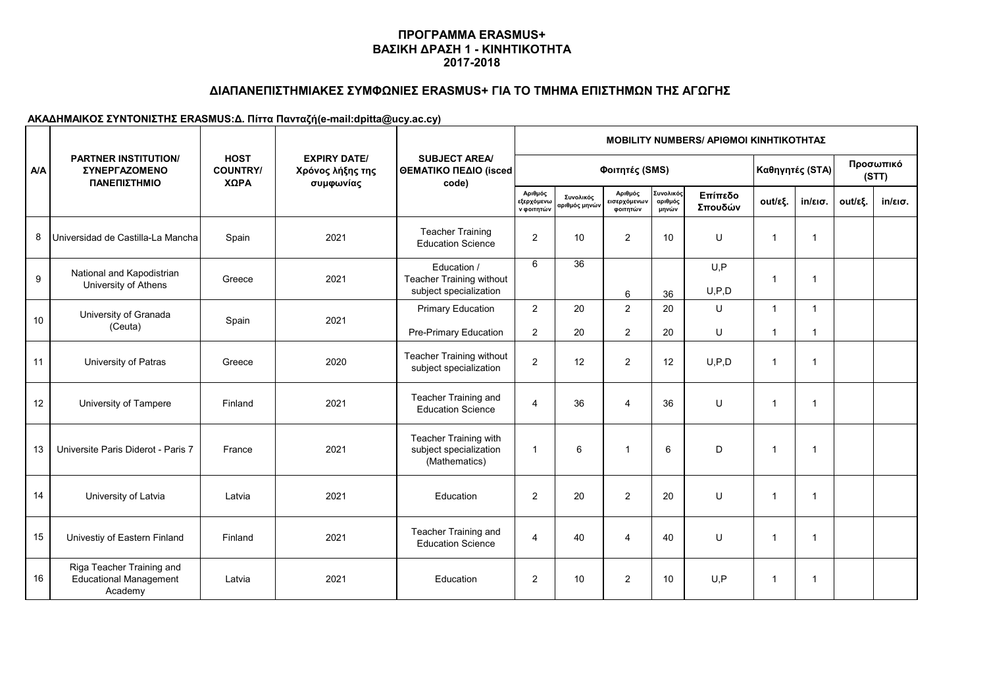## **ΔΙΑΠΑΝΕΠΙΣΤΗΜΙΑΚΕΣ ΣΥΜΦΩΝΙΕΣ ERASMUS+ ΓΙΑ ΤΟ ΤΜΗΜΑ ΕΠΙΣΤΗΜΩΝ ΤΗΣ ΑΓΩΓΗΣ**

|     | <b>PARTNER INSTITUTION/</b><br>ΣΥΝΕΡΓΑΖΟΜΕΝΟ<br>ΠΑΝΕΠΙΣΤΗΜΙΟ          |                                        | <b>EXPIRY DATE/</b><br>Χρόνος λήξης της<br>συμφωνίας | <b>SUBJECT AREA/</b><br>ΘΕΜΑΤΙΚΟ ΠΕΔΙΟ (isced<br>code)            | <b>MOBILITY NUMBERS/ APIOMOI KINHTIKOTHTAZ</b> |                            |                                     |                              |                    |                         |                   |         |                   |  |  |
|-----|-----------------------------------------------------------------------|----------------------------------------|------------------------------------------------------|-------------------------------------------------------------------|------------------------------------------------|----------------------------|-------------------------------------|------------------------------|--------------------|-------------------------|-------------------|---------|-------------------|--|--|
| A/A |                                                                       | <b>HOST</b><br><b>COUNTRY/</b><br>ΧΩΡΑ |                                                      |                                                                   |                                                | Φοιτητές (SMS)             | Καθηγητές (STA)                     |                              | Προσωπικό<br>(STT) |                         |                   |         |                   |  |  |
|     |                                                                       |                                        |                                                      |                                                                   | Αριθμός<br>εξερχόμενω<br>ν φοιτητών            | Συνολικός<br>αριθμός μηνών | Αριθμός<br>εισερχόμενων<br>φοιτητών | Συνολικό<br>αριθμός<br>μηνών | Επίπεδο<br>Σπουδών | out/εξ.                 | $in/\epsilon$ ισ. | out/εξ. | $in/\epsilon$ ισ. |  |  |
| 8   | Universidad de Castilla-La Mancha                                     | Spain                                  | 2021                                                 | <b>Teacher Training</b><br><b>Education Science</b>               | $\overline{2}$                                 | 10                         | $\mathbf{2}$                        | 10                           | U                  | $\overline{\mathbf{1}}$ | $\overline{1}$    |         |                   |  |  |
| 9   | National and Kapodistrian<br>University of Athens                     | Greece                                 | 2021                                                 | Education /<br>Teacher Training without<br>subject specialization | 6                                              | 36                         | 6                                   | 36                           | U, P<br>U, P, D    | 1                       | $\overline{1}$    |         |                   |  |  |
| 10  | University of Granada                                                 | Spain                                  | 2021                                                 | <b>Primary Education</b>                                          | 2                                              | 20                         | 2                                   | 20                           | U                  | $\overline{1}$          | $\mathbf{1}$      |         |                   |  |  |
|     | (Ceuta)                                                               |                                        |                                                      | Pre-Primary Education                                             | $\overline{2}$                                 | 20                         | $\overline{2}$                      | 20                           | U                  | $\overline{1}$          | $\mathbf{1}$      |         |                   |  |  |
| 11  | University of Patras                                                  | Greece                                 | 2020                                                 | <b>Teacher Training without</b><br>subject specialization         | $\overline{2}$                                 | 12                         | $\mathbf{2}$                        | 12                           | U, P, D            | -1                      | 1                 |         |                   |  |  |
| 12  | University of Tampere                                                 | Finland                                | 2021                                                 | Teacher Training and<br><b>Education Science</b>                  | $\overline{4}$                                 | 36                         | $\overline{4}$                      | 36                           | U                  | -1                      | $\overline{1}$    |         |                   |  |  |
| 13  | Universite Paris Diderot - Paris 7                                    | France                                 | 2021                                                 | Teacher Training with<br>subject specialization<br>(Mathematics)  | -1                                             | 6                          | $\overline{1}$                      | 6                            | D                  | -1                      | $\mathbf 1$       |         |                   |  |  |
| 14  | University of Latvia                                                  | Latvia                                 | 2021                                                 | Education                                                         | 2                                              | 20                         | 2                                   | 20                           | U                  | $\overline{1}$          | $\mathbf 1$       |         |                   |  |  |
| 15  | Univestiy of Eastern Finland                                          | Finland                                | 2021                                                 | Teacher Training and<br><b>Education Science</b>                  | $\overline{4}$                                 | 40                         | $\overline{4}$                      | 40                           | U                  | $\overline{1}$          | $\overline{1}$    |         |                   |  |  |
| 16  | Riga Teacher Training and<br><b>Educational Management</b><br>Academy | Latvia                                 | 2021                                                 | Education                                                         | $\overline{2}$                                 | 10                         | $\overline{2}$                      | 10                           | U, P               | $\overline{1}$          | -1                |         |                   |  |  |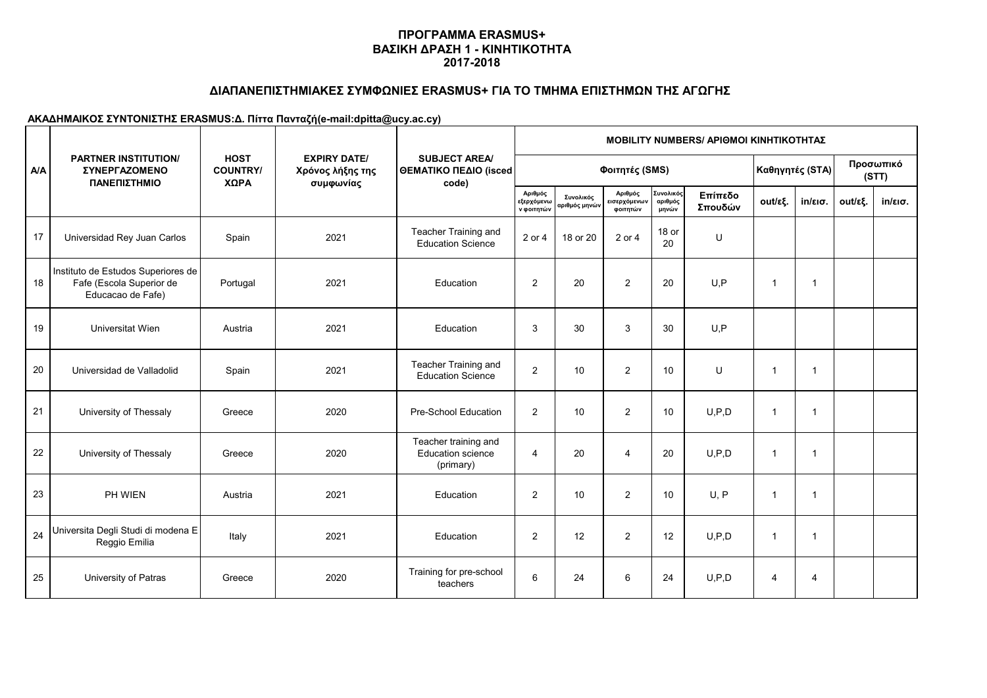## **ΔΙΑΠΑΝΕΠΙΣΤΗΜΙΑΚΕΣ ΣΥΜΦΩΝΙΕΣ ERASMUS+ ΓΙΑ ΤΟ ΤΜΗΜΑ ΕΠΙΣΤΗΜΩΝ ΤΗΣ ΑΓΩΓΗΣ**

|     | <b>PARTNER INSTITUTION/</b><br><b>ΣΥΝΕΡΓΑΖΟΜΕΝΟ</b><br>ΠΑΝΕΠΙΣΤΗΜΙΟ                 |                                        |                                                      | <b>SUBJECT AREA/</b><br><b>ΘΕΜΑΤΙΚΟ ΠΕΔΙΟ (isced)</b><br>code) | <b>MOBILITY NUMBERS/ APIOMOI KINHTIKOTHTAZ</b> |                            |                                     |                               |                    |                         |                    |         |                   |  |  |  |
|-----|-------------------------------------------------------------------------------------|----------------------------------------|------------------------------------------------------|----------------------------------------------------------------|------------------------------------------------|----------------------------|-------------------------------------|-------------------------------|--------------------|-------------------------|--------------------|---------|-------------------|--|--|--|
| A/A |                                                                                     | <b>HOST</b><br><b>COUNTRY/</b><br>ΧΩΡΑ | <b>EXPIRY DATE/</b><br>Χρόνος λήξης της<br>συμφωνίας |                                                                |                                                |                            | Φοιτητές (SMS)                      |                               | Καθηγητές (STA)    |                         | Προσωπικό<br>(STT) |         |                   |  |  |  |
|     |                                                                                     |                                        |                                                      |                                                                | Αριθμός<br>εξερχόμενω<br>ν φοιτητών            | Συνολικός<br>αριθμός μηνών | Αριθμός<br>εισερχόμενων<br>φοιτητών | Συνολικός<br>αριθμός<br>μηνών | Επίπεδο<br>Σπουδών | out/εξ.                 | $in/\epsilon$ ισ.  | out/εξ. | $in/\epsilon$ ισ. |  |  |  |
| 17  | Universidad Rey Juan Carlos                                                         | Spain                                  | 2021                                                 | Teacher Training and<br><b>Education Science</b>               | 2 or 4                                         | 18 or 20                   | 2 or 4                              | 18 or<br>20                   | U                  |                         |                    |         |                   |  |  |  |
| 18  | Instituto de Estudos Superiores de<br>Fafe (Escola Superior de<br>Educacao de Fafe) | Portugal                               | 2021                                                 | Education                                                      | 2                                              | 20                         | 2                                   | 20                            | U, P               | -1                      | $\overline{1}$     |         |                   |  |  |  |
| 19  | Universitat Wien                                                                    | Austria                                | 2021                                                 | Education                                                      | 3                                              | 30                         | 3                                   | 30                            | U, P               |                         |                    |         |                   |  |  |  |
| 20  | Universidad de Valladolid                                                           | Spain                                  | 2021                                                 | Teacher Training and<br><b>Education Science</b>               | $\overline{2}$                                 | 10                         | $\overline{2}$                      | 10                            | U                  | -1                      | -1                 |         |                   |  |  |  |
| 21  | University of Thessaly                                                              | Greece                                 | 2020                                                 | Pre-School Education                                           | 2                                              | 10                         | $\overline{2}$                      | 10                            | U, P, D            | $\overline{1}$          | $\overline{1}$     |         |                   |  |  |  |
| 22  | University of Thessaly                                                              | Greece                                 | 2020                                                 | Teacher training and<br><b>Education science</b><br>(primary)  | $\overline{4}$                                 | 20                         | $\overline{4}$                      | 20                            | U, P, D            | $\overline{1}$          | $\mathbf 1$        |         |                   |  |  |  |
| 23  | PH WIEN                                                                             | Austria                                | 2021                                                 | Education                                                      | $\overline{2}$                                 | 10                         | $\overline{2}$                      | 10                            | U, P               | $\overline{\mathbf{1}}$ | -1                 |         |                   |  |  |  |
| 24  | Universita Degli Studi di modena E<br>Reggio Emilia                                 | Italy                                  | 2021                                                 | Education                                                      | 2                                              | 12                         | 2                                   | 12                            | U, P, D            | $\overline{1}$          | $\mathbf{1}$       |         |                   |  |  |  |
| 25  | University of Patras                                                                | Greece                                 | 2020                                                 | Training for pre-school<br>teachers                            | 6                                              | 24                         | 6                                   | 24                            | U, P, D            | 4                       | 4                  |         |                   |  |  |  |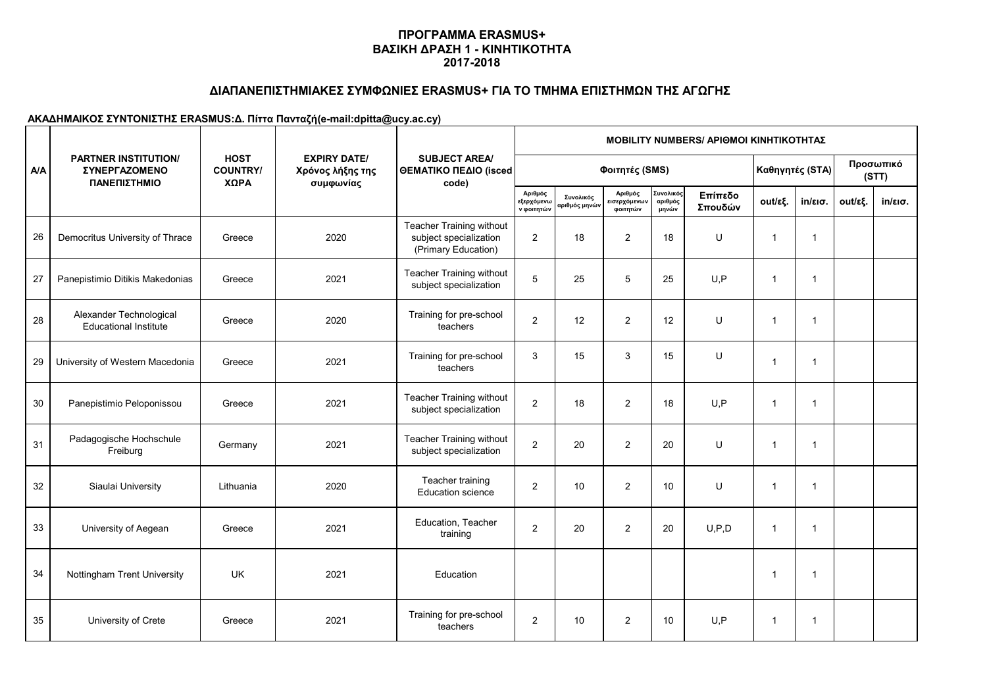## **ΔΙΑΠΑΝΕΠΙΣΤΗΜΙΑΚΕΣ ΣΥΜΦΩΝΙΕΣ ERASMUS+ ΓΙΑ ΤΟ ΤΜΗΜΑ ΕΠΙΣΤΗΜΩΝ ΤΗΣ ΑΓΩΓΗΣ**

|            | <b>PARTNER INSTITUTION/</b><br><b>ΣΥΝΕΡΓΑΖΟΜΕΝΟ</b><br>ΠΑΝΕΠΙΣΤΗΜΙΟ |                                        |                                                      | <b>SUBJECT AREA/</b><br>ΘΕΜΑΤΙΚΟ ΠΕΔΙΟ (isced<br>code)                    | <b>MOBILITY NUMBERS/ APIOMOI KINHTIKOTHTAZ</b> |                                          |                                     |                              |                    |                |                   |         |                    |  |  |
|------------|---------------------------------------------------------------------|----------------------------------------|------------------------------------------------------|---------------------------------------------------------------------------|------------------------------------------------|------------------------------------------|-------------------------------------|------------------------------|--------------------|----------------|-------------------|---------|--------------------|--|--|
| <b>A/A</b> |                                                                     | <b>HOST</b><br><b>COUNTRY/</b><br>ΧΩΡΑ | <b>EXPIRY DATE/</b><br>Χρόνος λήξης της<br>συμφωνίας |                                                                           | Φοιτητές (SMS)                                 |                                          |                                     |                              |                    |                | Καθηγητές (STA)   |         | Προσωπικό<br>(STT) |  |  |
|            |                                                                     |                                        |                                                      |                                                                           | Αριθμός<br>εξερχόμενω<br>ν φοιτητών            | Συνολικός<br>αριθμός μηνώ <mark>ν</mark> | Αριθμός<br>εισερχόμενων<br>φοιτητών | Συνολικό<br>αριθμός<br>μηνών | Επίπεδο<br>Σπουδών | out/εξ.        | $in/\epsilon$ ισ. | out/εξ. | $in/\epsilon$ ισ.  |  |  |
| 26         | Democritus University of Thrace                                     | Greece                                 | 2020                                                 | Teacher Training without<br>subject specialization<br>(Primary Education) | 2                                              | 18                                       | $\mathbf{2}$                        | 18                           | U                  | -1             | $\mathbf{1}$      |         |                    |  |  |
| 27         | Panepistimio Ditikis Makedonias                                     | Greece                                 | 2021                                                 | <b>Teacher Training without</b><br>subject specialization                 | 5                                              | 25                                       | 5                                   | 25                           | U, P               | $\overline{1}$ | $\overline{1}$    |         |                    |  |  |
| 28         | Alexander Technological<br><b>Educational Institute</b>             | Greece                                 | 2020                                                 | Training for pre-school<br>teachers                                       | $\overline{c}$                                 | 12                                       | $\overline{2}$                      | 12                           | U                  | -1             | $\mathbf{1}$      |         |                    |  |  |
| 29         | University of Western Macedonia                                     | Greece                                 | 2021                                                 | Training for pre-school<br>teachers                                       | 3                                              | 15                                       | 3                                   | 15                           | U                  | $\overline{1}$ | $\overline{1}$    |         |                    |  |  |
| 30         | Panepistimio Peloponissou                                           | Greece                                 | 2021                                                 | <b>Teacher Training without</b><br>subject specialization                 | 2                                              | 18                                       | 2                                   | 18                           | U, P               | -1             | $\mathbf{1}$      |         |                    |  |  |
| 31         | Padagogische Hochschule<br>Freiburg                                 | Germany                                | 2021                                                 | <b>Teacher Training without</b><br>subject specialization                 | $\overline{c}$                                 | 20                                       | $\overline{2}$                      | 20                           | U                  | $\overline{1}$ | $\mathbf{1}$      |         |                    |  |  |
| 32         | Siaulai University                                                  | Lithuania                              | 2020                                                 | Teacher training<br><b>Education science</b>                              | $\overline{2}$                                 | 10                                       | $\overline{2}$                      | 10                           | U                  | $\overline{1}$ | $\overline{1}$    |         |                    |  |  |
| 33         | University of Aegean                                                | Greece                                 | 2021                                                 | Education, Teacher<br>training                                            | $\overline{2}$                                 | 20                                       | 2                                   | 20                           | U, P, D            | -1             | -1                |         |                    |  |  |
| 34         | Nottingham Trent University                                         | <b>UK</b>                              | 2021                                                 | Education                                                                 |                                                |                                          |                                     |                              |                    | -1             | $\mathbf 1$       |         |                    |  |  |
| 35         | University of Crete                                                 | Greece                                 | 2021                                                 | Training for pre-school<br>teachers                                       | $\overline{2}$                                 | 10                                       | $\overline{2}$                      | 10                           | U, P               | -1             | $\mathbf 1$       |         |                    |  |  |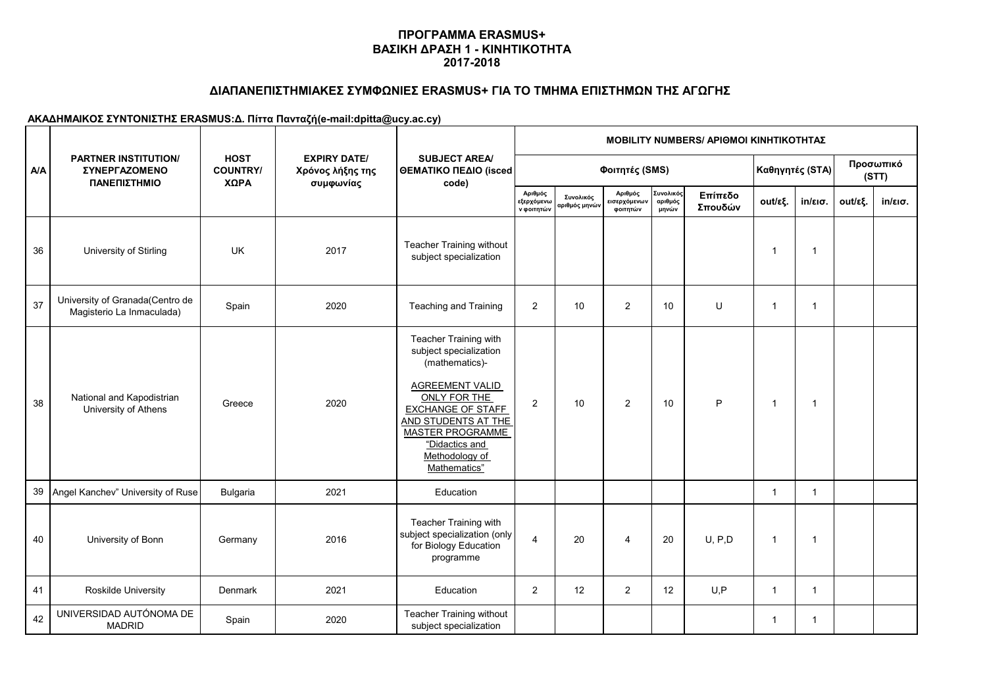## **ΔΙΑΠΑΝΕΠΙΣΤΗΜΙΑΚΕΣ ΣΥΜΦΩΝΙΕΣ ERASMUS+ ΓΙΑ ΤΟ ΤΜΗΜΑ ΕΠΙΣΤΗΜΩΝ ΤΗΣ ΑΓΩΓΗΣ**

|     | <b>PARTNER INSTITUTION/</b><br><b><i>ΣΥΝΕΡΓΑΖΟΜΕΝΟ</i></b><br>ΠΑΝΕΠΙΣΤΗΜΙΟ |                                        |                                                      | <b>SUBJECT AREA/</b><br>ΘΕΜΑΤΙΚΟ ΠΕΔΙΟ (isced<br>code)                                                                                                                                                                                        | <b>MOBILITY NUMBERS/ APIOMOI KINHTIKOTHTAZ</b> |                            |                                     |                               |                    |                         |                    |         |                   |  |  |  |
|-----|----------------------------------------------------------------------------|----------------------------------------|------------------------------------------------------|-----------------------------------------------------------------------------------------------------------------------------------------------------------------------------------------------------------------------------------------------|------------------------------------------------|----------------------------|-------------------------------------|-------------------------------|--------------------|-------------------------|--------------------|---------|-------------------|--|--|--|
| A/A |                                                                            | <b>HOST</b><br><b>COUNTRY/</b><br>ΧΩΡΑ | <b>EXPIRY DATE/</b><br>Χρόνος λήξης της<br>συμφωνίας |                                                                                                                                                                                                                                               |                                                | Φοιτητές (SMS)             |                                     |                               | Καθηγητές (STA)    |                         | Προσωπικό<br>(STT) |         |                   |  |  |  |
|     |                                                                            |                                        |                                                      |                                                                                                                                                                                                                                               | Αριθμός<br>εξερχόμενω<br>ν φοιτητών            | Συνολικός<br>αριθμός μηνών | Αριθμός<br>εισερχόμενων<br>φοιτητών | Συνολικός<br>αριθμός<br>μηνών | Επίπεδο<br>Σπουδών | out/εξ.                 | $in/\epsilon$ ισ.  | out/εξ. | $in/\epsilon$ ισ. |  |  |  |
| 36  | University of Stirling                                                     | <b>UK</b>                              | 2017                                                 | <b>Teacher Training without</b><br>subject specialization                                                                                                                                                                                     |                                                |                            |                                     |                               |                    | -1                      | $\overline{1}$     |         |                   |  |  |  |
| 37  | University of Granada(Centro de<br>Magisterio La Inmaculada)               | Spain                                  | 2020                                                 | Teaching and Training                                                                                                                                                                                                                         | $\overline{2}$                                 | 10                         | $\overline{2}$                      | 10                            | U                  | -1                      | $\mathbf{1}$       |         |                   |  |  |  |
| 38  | National and Kapodistrian<br>University of Athens                          | Greece                                 | 2020                                                 | Teacher Training with<br>subject specialization<br>(mathematics)-<br><b>AGREEMENT VALID</b><br>ONLY FOR THE<br><b>EXCHANGE OF STAFF</b><br>AND STUDENTS AT THE<br><b>MASTER PROGRAMME</b><br>"Didactics and<br>Methodology of<br>Mathematics" | 2                                              | 10                         | 2                                   | 10                            | P                  | $\overline{1}$          | -1                 |         |                   |  |  |  |
|     | 39 Angel Kanchev" University of Ruse                                       | Bulgaria                               | 2021                                                 | Education                                                                                                                                                                                                                                     |                                                |                            |                                     |                               |                    | 1                       | $\mathbf{1}$       |         |                   |  |  |  |
| 40  | University of Bonn                                                         | Germany                                | 2016                                                 | Teacher Training with<br>subject specialization (only<br>for Biology Education<br>programme                                                                                                                                                   | $\overline{4}$                                 | 20                         | $\overline{4}$                      | 20                            | U, P, D            | -1                      | $\mathbf 1$        |         |                   |  |  |  |
| 41  | Roskilde University                                                        | <b>Denmark</b>                         | 2021                                                 | Education                                                                                                                                                                                                                                     | 2                                              | 12                         | $\overline{2}$                      | 12                            | U, P               | $\overline{\mathbf{1}}$ | $\mathbf{1}$       |         |                   |  |  |  |
| 42  | UNIVERSIDAD AUTÓNOMA DE<br><b>MADRID</b>                                   | Spain                                  | 2020                                                 | Teacher Training without<br>subject specialization                                                                                                                                                                                            |                                                |                            |                                     |                               |                    | 1                       | $\mathbf{1}$       |         |                   |  |  |  |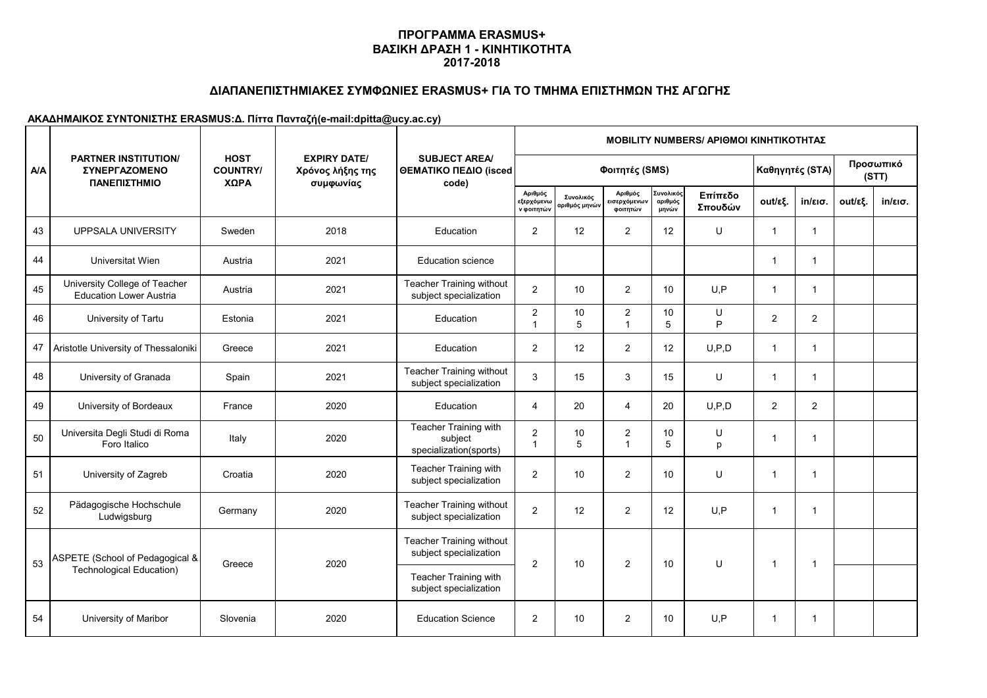## **ΔΙΑΠΑΝΕΠΙΣΤΗΜΙΑΚΕΣ ΣΥΜΦΩΝΙΕΣ ERASMUS+ ΓΙΑ ΤΟ ΤΜΗΜΑ ΕΠΙΣΤΗΜΩΝ ΤΗΣ ΑΓΩΓΗΣ**

|     | <b>PARTNER INSTITUTION/</b><br>ΣΥΝΕΡΓΑΖΟΜΕΝΟ<br>ΠΑΝΕΠΙΣΤΗΜΙΟ    |                                        |                                                      | <b>SUBJECT AREA/</b><br>ΘΕΜΑΤΙΚΟ ΠΕΔΙΟ (isced<br>code)     | <b>MOBILITY NUMBERS/ APIOMOI KINHTIKOTHTAZ</b> |                            |                                     |                               |                    |                          |                   |         |                   |  |  |  |
|-----|-----------------------------------------------------------------|----------------------------------------|------------------------------------------------------|------------------------------------------------------------|------------------------------------------------|----------------------------|-------------------------------------|-------------------------------|--------------------|--------------------------|-------------------|---------|-------------------|--|--|--|
| A/A |                                                                 | <b>HOST</b><br><b>COUNTRY/</b><br>ΧΩΡΑ | <b>EXPIRY DATE/</b><br>Χρόνος λήξης της<br>συμφωνίας |                                                            |                                                | Φοιτητές (SMS)             | Καθηγητές (STA)                     |                               |                    | Προσωπικό<br>(STT)       |                   |         |                   |  |  |  |
|     |                                                                 |                                        |                                                      |                                                            | Αριθμός<br>εξερχόμενω<br>ν φοιτητών            | Συνολικός<br>αριθμός μηνών | Αριθμός<br>εισερχόμενων<br>φοιτητών | Συνολικός<br>αριθμός<br>μηνών | Επίπεδο<br>Σπουδών | out/εξ.                  | $in/\epsilon$ ισ. | out/εξ. | $in/\epsilon$ ισ. |  |  |  |
| 43  | <b>UPPSALA UNIVERSITY</b>                                       | Sweden                                 | 2018                                                 | Education                                                  | 2                                              | 12                         | 2                                   | 12                            | U                  | $\overline{1}$           | $\mathbf{1}$      |         |                   |  |  |  |
| 44  | Universitat Wien                                                | Austria                                | 2021                                                 | <b>Education science</b>                                   |                                                |                            |                                     |                               |                    | -1                       | $\mathbf{1}$      |         |                   |  |  |  |
| 45  | University College of Teacher<br><b>Education Lower Austria</b> | Austria                                | 2021                                                 | <b>Teacher Training without</b><br>subject specialization  | $\overline{2}$                                 | 10                         | $\overline{2}$                      | 10                            | U, P               | $\overline{1}$           | $\mathbf{1}$      |         |                   |  |  |  |
| 46  | University of Tartu                                             | Estonia                                | 2021                                                 | Education                                                  | $\boldsymbol{2}$<br>$\overline{1}$             | 10<br>5                    | $\boldsymbol{2}$<br>$\overline{1}$  | 10<br>5                       | U<br>P             | $\overline{2}$           | $\overline{2}$    |         |                   |  |  |  |
| 47  | Aristotle University of Thessaloniki                            | Greece                                 | 2021                                                 | Education                                                  | $\overline{2}$                                 | 12                         | $\overline{2}$                      | 12                            | U, P, D            | -1                       | 1                 |         |                   |  |  |  |
| 48  | University of Granada                                           | Spain                                  | 2021                                                 | <b>Teacher Training without</b><br>subject specialization  | 3                                              | 15                         | 3                                   | 15                            | U                  | -1                       | $\mathbf{1}$      |         |                   |  |  |  |
| 49  | University of Bordeaux                                          | France                                 | 2020                                                 | Education                                                  | $\overline{4}$                                 | 20                         | $\overline{4}$                      | 20                            | U, P, D            | 2                        | $\overline{2}$    |         |                   |  |  |  |
| 50  | Universita Degli Studi di Roma<br>Foro Italico                  | Italy                                  | 2020                                                 | Teacher Training with<br>subject<br>specialization(sports) | $\overline{2}$<br>$\mathbf{1}$                 | 10<br>5                    | $\mathbf{2}$<br>$\overline{1}$      | 10<br>5                       | U<br>p             | $\overline{1}$           | $\overline{1}$    |         |                   |  |  |  |
| 51  | University of Zagreb                                            | Croatia                                | 2020                                                 | Teacher Training with<br>subject specialization            | 2                                              | 10                         | 2                                   | 10                            | U                  | -1                       | $\mathbf 1$       |         |                   |  |  |  |
| 52  | Pädagogische Hochschule<br>Ludwigsburg                          | Germany                                | 2020                                                 | <b>Teacher Training without</b><br>subject specialization  | $\overline{2}$                                 | 12                         | $\overline{2}$                      | 12                            | U, P               | -1                       | -1                |         |                   |  |  |  |
|     | ASPETE (School of Pedagogical &                                 |                                        |                                                      | <b>Teacher Training without</b><br>subject specialization  | $\overline{2}$                                 | 10                         | 2                                   | 10                            | U                  | $\overline{\phantom{a}}$ | -1                |         |                   |  |  |  |
| 53  | Technological Education)                                        | Greece                                 | 2020                                                 | Teacher Training with<br>subject specialization            |                                                |                            |                                     |                               |                    |                          |                   |         |                   |  |  |  |
| 54  | University of Maribor                                           | Slovenia                               | 2020                                                 | <b>Education Science</b>                                   | $\overline{2}$                                 | 10                         | $\mathbf{2}$                        | 10                            | U, P               | -1                       | -1                |         |                   |  |  |  |